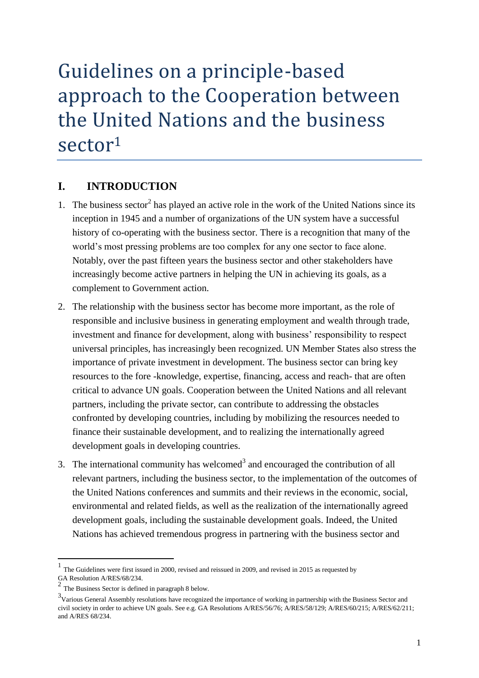# Guidelines on a principle-based approach to the Cooperation between the United Nations and the business sector<sup>1</sup>

### **I. INTRODUCTION**

- 1. The business sector<sup>2</sup> has played an active role in the work of the United Nations since its inception in 1945 and a number of organizations of the UN system have a successful history of co-operating with the business sector. There is a recognition that many of the world's most pressing problems are too complex for any one sector to face alone. Notably, over the past fifteen years the business sector and other stakeholders have increasingly become active partners in helping the UN in achieving its goals, as a complement to Government action.
- 2. The relationship with the business sector has become more important, as the role of responsible and inclusive business in generating employment and wealth through trade, investment and finance for development, along with business' responsibility to respect universal principles, has increasingly been recognized. UN Member States also stress the importance of private investment in development. The business sector can bring key resources to the fore -knowledge, expertise, financing, access and reach- that are often critical to advance UN goals. Cooperation between the United Nations and all relevant partners, including the private sector, can contribute to addressing the obstacles confronted by developing countries, including by mobilizing the resources needed to finance their sustainable development, and to realizing the internationally agreed development goals in developing countries.
- 3. The international community has welcomed<sup>3</sup> and encouraged the contribution of all relevant partners, including the business sector, to the implementation of the outcomes of the United Nations conferences and summits and their reviews in the economic, social, environmental and related fields, as well as the realization of the internationally agreed development goals, including the sustainable development goals. Indeed, the United Nations has achieved tremendous progress in partnering with the business sector and

**.** 

<sup>1</sup> The Guidelines were first issued in 2000, revised and reissued in 2009, and revised in 2015 as requested by GA Resolution A/RES/68/234.

<sup>2</sup> The Business Sector is defined in paragraph 8 below.

<sup>&</sup>lt;sup>3</sup>Various General Assembly resolutions have recognized the importance of working in partnership with the Business Sector and civil society in order to achieve UN goals. See e.g. GA Resolutions A/RES/56/76; A/RES/58/129; A/RES/60/215; A/RES/62/211; and A/RES 68/234.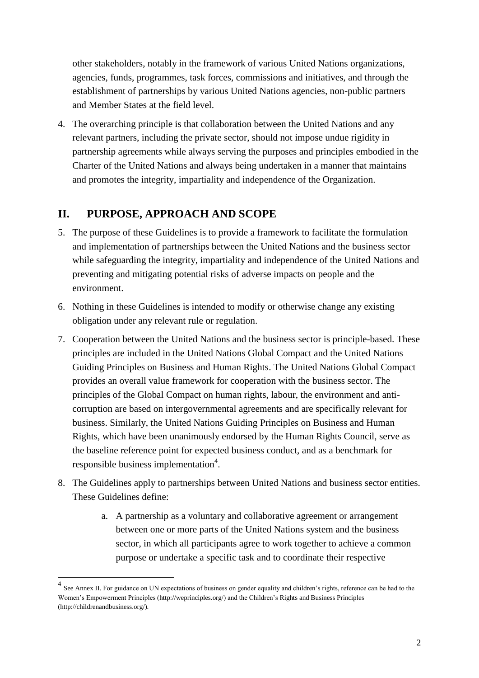other stakeholders, notably in the framework of various United Nations organizations, agencies, funds, programmes, task forces, commissions and initiatives, and through the establishment of partnerships by various United Nations agencies, non-public partners and Member States at the field level.

4. The overarching principle is that collaboration between the United Nations and any relevant partners, including the private sector, should not impose undue rigidity in partnership agreements while always serving the purposes and principles embodied in the Charter of the United Nations and always being undertaken in a manner that maintains and promotes the integrity, impartiality and independence of the Organization.

# **II. PURPOSE, APPROACH AND SCOPE**

1

- 5. The purpose of these Guidelines is to provide a framework to facilitate the formulation and implementation of partnerships between the United Nations and the business sector while safeguarding the integrity, impartiality and independence of the United Nations and preventing and mitigating potential risks of adverse impacts on people and the environment.
- 6. Nothing in these Guidelines is intended to modify or otherwise change any existing obligation under any relevant rule or regulation.
- 7. Cooperation between the United Nations and the business sector is principle-based. These principles are included in the United Nations Global Compact and the United Nations Guiding Principles on Business and Human Rights. The United Nations Global Compact provides an overall value framework for cooperation with the business sector. The principles of the Global Compact on human rights, labour, the environment and anticorruption are based on intergovernmental agreements and are specifically relevant for business. Similarly, the United Nations Guiding Principles on Business and Human Rights, which have been unanimously endorsed by the Human Rights Council, serve as the baseline reference point for expected business conduct, and as a benchmark for responsible business implementation<sup>4</sup>.
- 8. The Guidelines apply to partnerships between United Nations and business sector entities. These Guidelines define:
	- a. A partnership as a voluntary and collaborative agreement or arrangement between one or more parts of the United Nations system and the business sector, in which all participants agree to work together to achieve a common purpose or undertake a specific task and to coordinate their respective

<sup>&</sup>lt;sup>4</sup> See Annex II. For guidance on UN expectations of business on gender equality and children's rights, reference can be had to the Women's Empowerment Principles [\(http://weprinciples.org/\)](http://weprinciples.org/) and the Children's Rights and Business Principles (http://childrenandbusiness.org/).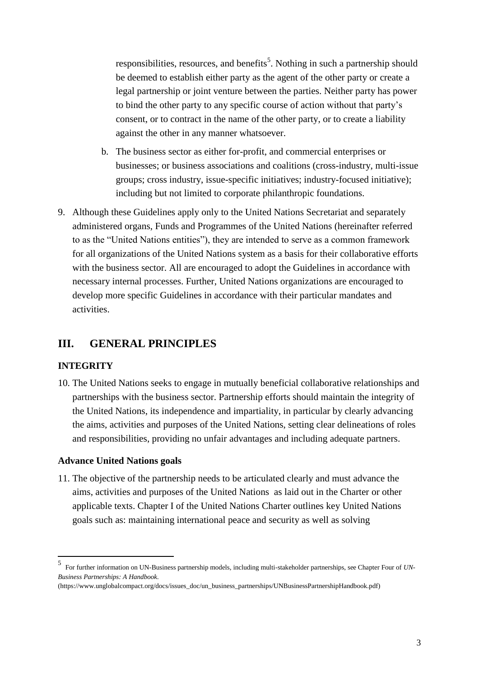responsibilities, resources, and benefits<sup>5</sup>. Nothing in such a partnership should be deemed to establish either party as the agent of the other party or create a legal partnership or joint venture between the parties. Neither party has power to bind the other party to any specific course of action without that party's consent, or to contract in the name of the other party, or to create a liability against the other in any manner whatsoever.

- b. The business sector as either for-profit, and commercial enterprises or businesses; or business associations and coalitions (cross-industry, multi-issue groups; cross industry, issue-specific initiatives; industry-focused initiative); including but not limited to corporate philanthropic foundations.
- 9. Although these Guidelines apply only to the United Nations Secretariat and separately administered organs, Funds and Programmes of the United Nations (hereinafter referred to as the "United Nations entities"), they are intended to serve as a common framework for all organizations of the United Nations system as a basis for their collaborative efforts with the business sector. All are encouraged to adopt the Guidelines in accordance with necessary internal processes. Further, United Nations organizations are encouraged to develop more specific Guidelines in accordance with their particular mandates and activities.

### **III. GENERAL PRINCIPLES**

### **INTEGRITY**

10. The United Nations seeks to engage in mutually beneficial collaborative relationships and partnerships with the business sector. Partnership efforts should maintain the integrity of the United Nations, its independence and impartiality, in particular by clearly advancing the aims, activities and purposes of the United Nations, setting clear delineations of roles and responsibilities, providing no unfair advantages and including adequate partners.

### **Advance United Nations goals**

11. The objective of the partnership needs to be articulated clearly and must advance the aims, activities and purposes of the United Nations as laid out in the Charter or other applicable texts. Chapter I of the United Nations Charter outlines key United Nations goals such as: maintaining international peace and security as well as solving

 5

For further information on UN-Business partnership models, including multi-stakeholder partnerships, see Chapter Four of *UN-Business Partnerships: A Handbook.* 

<sup>(</sup>https://www.unglobalcompact.org/docs/issues\_doc/un\_business\_partnerships/UNBusinessPartnershipHandbook.pdf)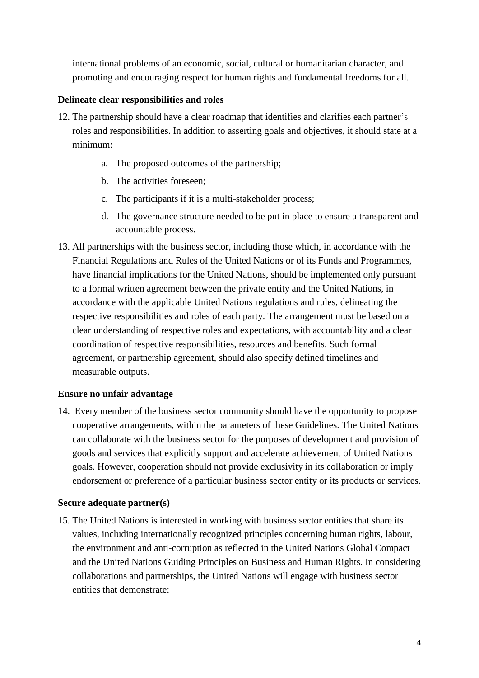international problems of an economic, social, cultural or humanitarian character, and promoting and encouraging respect for human rights and fundamental freedoms for all.

### **Delineate clear responsibilities and roles**

- 12. The partnership should have a clear roadmap that identifies and clarifies each partner's roles and responsibilities. In addition to asserting goals and objectives, it should state at a minimum:
	- a. The proposed outcomes of the partnership;
	- b. The activities foreseen;
	- c. The participants if it is a multi-stakeholder process;
	- d. The governance structure needed to be put in place to ensure a transparent and accountable process.
- 13. All partnerships with the business sector, including those which, in accordance with the Financial Regulations and Rules of the United Nations or of its Funds and Programmes, have financial implications for the United Nations, should be implemented only pursuant to a formal written agreement between the private entity and the United Nations, in accordance with the applicable United Nations regulations and rules, delineating the respective responsibilities and roles of each party. The arrangement must be based on a clear understanding of respective roles and expectations, with accountability and a clear coordination of respective responsibilities, resources and benefits. Such formal agreement, or partnership agreement, should also specify defined timelines and measurable outputs.

### **Ensure no unfair advantage**

14. Every member of the business sector community should have the opportunity to propose cooperative arrangements, within the parameters of these Guidelines. The United Nations can collaborate with the business sector for the purposes of development and provision of goods and services that explicitly support and accelerate achievement of United Nations goals. However, cooperation should not provide exclusivity in its collaboration or imply endorsement or preference of a particular business sector entity or its products or services.

#### **Secure adequate partner(s)**

15. The United Nations is interested in working with business sector entities that share its values, including internationally recognized principles concerning human rights, labour, the environment and anti-corruption as reflected in the United Nations Global Compact and the United Nations Guiding Principles on Business and Human Rights. In considering collaborations and partnerships, the United Nations will engage with business sector entities that demonstrate: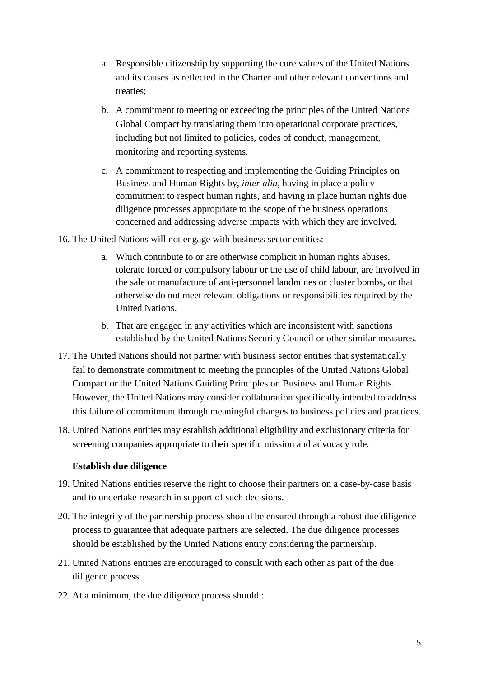- a. Responsible citizenship by supporting the core values of the United Nations and its causes as reflected in the Charter and other relevant conventions and treaties;
- b. A commitment to meeting or exceeding the principles of the United Nations Global Compact by translating them into operational corporate practices, including but not limited to policies, codes of conduct, management, monitoring and reporting systems.
- c. A commitment to respecting and implementing the Guiding Principles on Business and Human Rights by, *inter alia*, having in place a policy commitment to respect human rights, and having in place human rights due diligence processes appropriate to the scope of the business operations concerned and addressing adverse impacts with which they are involved.
- 16. The United Nations will not engage with business sector entities:
	- a. Which contribute to or are otherwise complicit in human rights abuses, tolerate forced or compulsory labour or the use of child labour, are involved in the sale or manufacture of anti-personnel landmines or cluster bombs, or that otherwise do not meet relevant obligations or responsibilities required by the United Nations.
	- b. That are engaged in any activities which are inconsistent with sanctions established by the United Nations Security Council or other similar measures.
- 17. The United Nations should not partner with business sector entities that systematically fail to demonstrate commitment to meeting the principles of the United Nations Global Compact or the United Nations Guiding Principles on Business and Human Rights. However, the United Nations may consider collaboration specifically intended to address this failure of commitment through meaningful changes to business policies and practices.
- 18. United Nations entities may establish additional eligibility and exclusionary criteria for screening companies appropriate to their specific mission and advocacy role.

#### **Establish due diligence**

- 19. United Nations entities reserve the right to choose their partners on a case-by-case basis and to undertake research in support of such decisions.
- 20. The integrity of the partnership process should be ensured through a robust due diligence process to guarantee that adequate partners are selected. The due diligence processes should be established by the United Nations entity considering the partnership.
- 21. United Nations entities are encouraged to consult with each other as part of the due diligence process.
- 22. At a minimum, the due diligence process should :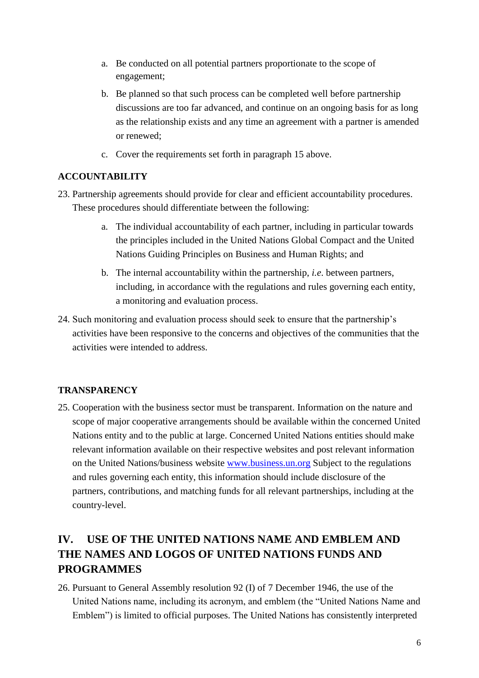- a. Be conducted on all potential partners proportionate to the scope of engagement;
- b. Be planned so that such process can be completed well before partnership discussions are too far advanced, and continue on an ongoing basis for as long as the relationship exists and any time an agreement with a partner is amended or renewed;
- c. Cover the requirements set forth in paragraph 15 above.

### **ACCOUNTABILITY**

- 23. Partnership agreements should provide for clear and efficient accountability procedures. These procedures should differentiate between the following:
	- a. The individual accountability of each partner, including in particular towards the principles included in the United Nations Global Compact and the United Nations Guiding Principles on Business and Human Rights; and
	- b. The internal accountability within the partnership, *i.e*. between partners, including, in accordance with the regulations and rules governing each entity, a monitoring and evaluation process.
- 24. Such monitoring and evaluation process should seek to ensure that the partnership's activities have been responsive to the concerns and objectives of the communities that the activities were intended to address.

### **TRANSPARENCY**

25. Cooperation with the business sector must be transparent. Information on the nature and scope of major cooperative arrangements should be available within the concerned United Nations entity and to the public at large. Concerned United Nations entities should make relevant information available on their respective websites and post relevant information on the United Nations/business website www.business.un.org Subject to the regulations and rules governing each entity, this information should include disclosure of the partners, contributions, and matching funds for all relevant partnerships, including at the country-level.

# **IV. USE OF THE UNITED NATIONS NAME AND EMBLEM AND THE NAMES AND LOGOS OF UNITED NATIONS FUNDS AND PROGRAMMES**

26. Pursuant to General Assembly resolution 92 (I) of 7 December 1946, the use of the United Nations name, including its acronym, and emblem (the "United Nations Name and Emblem") is limited to official purposes. The United Nations has consistently interpreted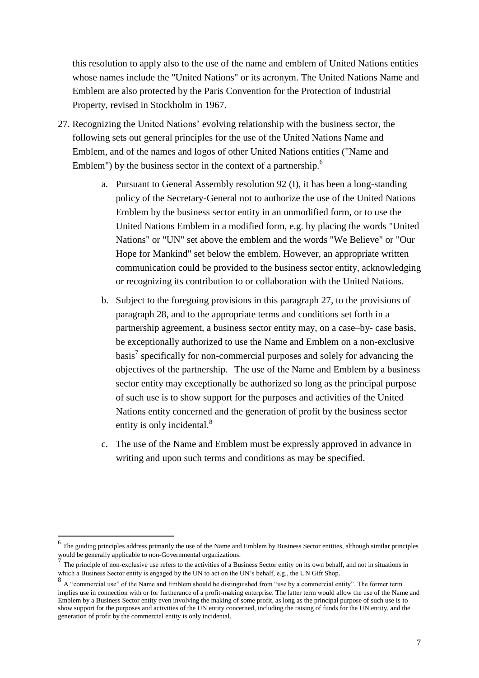this resolution to apply also to the use of the name and emblem of United Nations entities whose names include the "United Nations" or its acronym. The United Nations Name and Emblem are also protected by the Paris Convention for the Protection of Industrial Property, revised in Stockholm in 1967.

- 27. Recognizing the United Nations' evolving relationship with the business sector, the following sets out general principles for the use of the United Nations Name and Emblem, and of the names and logos of other United Nations entities ("Name and Emblem") by the business sector in the context of a partnership. $<sup>6</sup>$ </sup>
	- a. Pursuant to General Assembly resolution 92 (I), it has been a long-standing policy of the Secretary-General not to authorize the use of the United Nations Emblem by the business sector entity in an unmodified form, or to use the United Nations Emblem in a modified form, e.g. by placing the words "United Nations" or "UN" set above the emblem and the words "We Believe" or "Our Hope for Mankind" set below the emblem. However, an appropriate written communication could be provided to the business sector entity, acknowledging or recognizing its contribution to or collaboration with the United Nations.
	- b. Subject to the foregoing provisions in this paragraph 27, to the provisions of paragraph 28, and to the appropriate terms and conditions set forth in a partnership agreement, a business sector entity may, on a case–by- case basis, be exceptionally authorized to use the Name and Emblem on a non-exclusive basis<sup>7</sup> specifically for non-commercial purposes and solely for advancing the objectives of the partnership. The use of the Name and Emblem by a business sector entity may exceptionally be authorized so long as the principal purpose of such use is to show support for the purposes and activities of the United Nations entity concerned and the generation of profit by the business sector entity is only incidental.<sup>8</sup>
	- c. The use of the Name and Emblem must be expressly approved in advance in writing and upon such terms and conditions as may be specified.

**.** 

 $<sup>6</sup>$  The guiding principles address primarily the use of the Name and Emblem by Business Sector entities, although similar principles</sup> would be generally applicable to non-Governmental organizations.

<sup>&</sup>lt;sup>7</sup> The principle of non-exclusive use refers to the activities of a Business Sector entity on its own behalf, and not in situations in

which a Business Sector entity is engaged by the UN to act on the UN's behalf, e.g., the UN Gift Shop.<br><sup>8</sup> A "commercial use" of the Name and Emblem should be distinguished from "use by a commercial entity". The former ter implies use in connection with or for furtherance of a profit-making enterprise. The latter term would allow the use of the Name and Emblem by a Business Sector entity even involving the making of some profit, as long as the principal purpose of such use is to show support for the purposes and activities of the UN entity concerned, including the raising of funds for the UN entity, and the generation of profit by the commercial entity is only incidental.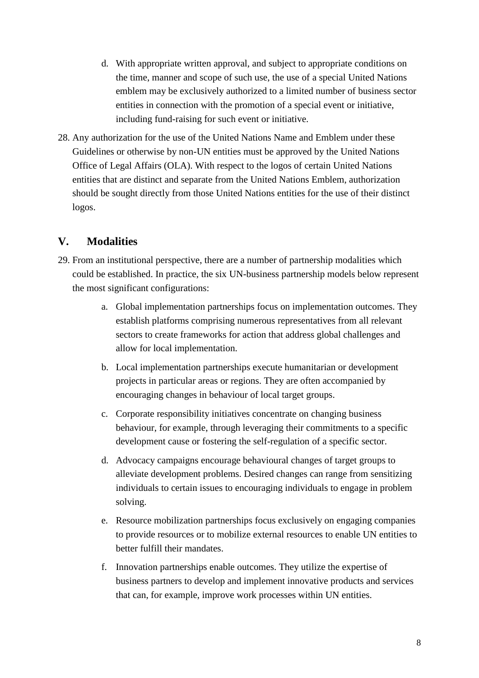- d. With appropriate written approval, and subject to appropriate conditions on the time, manner and scope of such use, the use of a special United Nations emblem may be exclusively authorized to a limited number of business sector entities in connection with the promotion of a special event or initiative, including fund-raising for such event or initiative.
- 28. Any authorization for the use of the United Nations Name and Emblem under these Guidelines or otherwise by non-UN entities must be approved by the United Nations Office of Legal Affairs (OLA). With respect to the logos of certain United Nations entities that are distinct and separate from the United Nations Emblem, authorization should be sought directly from those United Nations entities for the use of their distinct logos.

# **V. Modalities**

- 29. From an institutional perspective, there are a number of partnership modalities which could be established. In practice, the six UN-business partnership models below represent the most significant configurations:
	- a. Global implementation partnerships focus on implementation outcomes. They establish platforms comprising numerous representatives from all relevant sectors to create frameworks for action that address global challenges and allow for local implementation.
	- b. Local implementation partnerships execute humanitarian or development projects in particular areas or regions. They are often accompanied by encouraging changes in behaviour of local target groups.
	- c. Corporate responsibility initiatives concentrate on changing business behaviour, for example, through leveraging their commitments to a specific development cause or fostering the self-regulation of a specific sector.
	- d. Advocacy campaigns encourage behavioural changes of target groups to alleviate development problems. Desired changes can range from sensitizing individuals to certain issues to encouraging individuals to engage in problem solving.
	- e. Resource mobilization partnerships focus exclusively on engaging companies to provide resources or to mobilize external resources to enable UN entities to better fulfill their mandates.
	- f. Innovation partnerships enable outcomes. They utilize the expertise of business partners to develop and implement innovative products and services that can, for example, improve work processes within UN entities.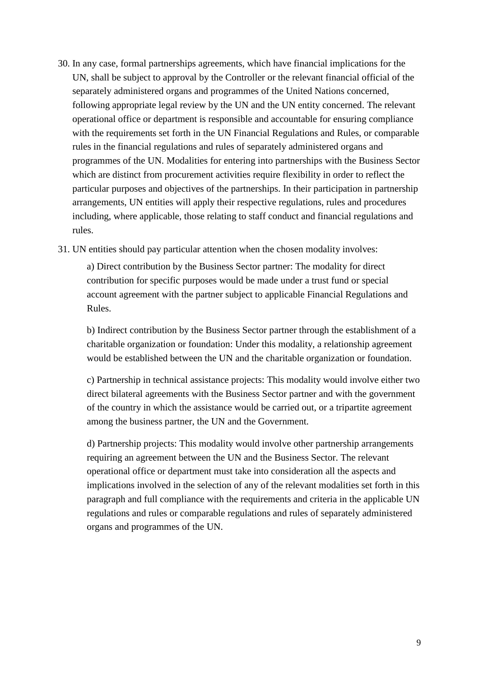- 30. In any case, formal partnerships agreements, which have financial implications for the UN, shall be subject to approval by the Controller or the relevant financial official of the separately administered organs and programmes of the United Nations concerned, following appropriate legal review by the UN and the UN entity concerned. The relevant operational office or department is responsible and accountable for ensuring compliance with the requirements set forth in the UN Financial Regulations and Rules, or comparable rules in the financial regulations and rules of separately administered organs and programmes of the UN. Modalities for entering into partnerships with the Business Sector which are distinct from procurement activities require flexibility in order to reflect the particular purposes and objectives of the partnerships. In their participation in partnership arrangements, UN entities will apply their respective regulations, rules and procedures including, where applicable, those relating to staff conduct and financial regulations and rules.
- 31. UN entities should pay particular attention when the chosen modality involves:

a) Direct contribution by the Business Sector partner: The modality for direct contribution for specific purposes would be made under a trust fund or special account agreement with the partner subject to applicable Financial Regulations and Rules.

b) Indirect contribution by the Business Sector partner through the establishment of a charitable organization or foundation: Under this modality, a relationship agreement would be established between the UN and the charitable organization or foundation.

c) Partnership in technical assistance projects: This modality would involve either two direct bilateral agreements with the Business Sector partner and with the government of the country in which the assistance would be carried out, or a tripartite agreement among the business partner, the UN and the Government.

d) Partnership projects: This modality would involve other partnership arrangements requiring an agreement between the UN and the Business Sector. The relevant operational office or department must take into consideration all the aspects and implications involved in the selection of any of the relevant modalities set forth in this paragraph and full compliance with the requirements and criteria in the applicable UN regulations and rules or comparable regulations and rules of separately administered organs and programmes of the UN.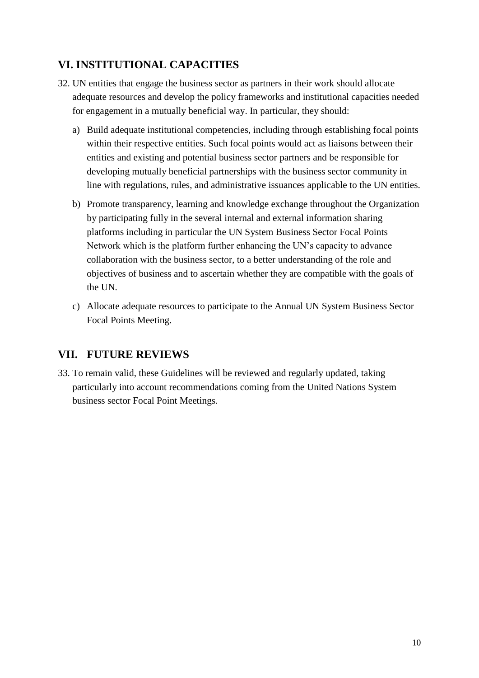# **VI. INSTITUTIONAL CAPACITIES**

- 32. UN entities that engage the business sector as partners in their work should allocate adequate resources and develop the policy frameworks and institutional capacities needed for engagement in a mutually beneficial way. In particular, they should:
	- a) Build adequate institutional competencies, including through establishing focal points within their respective entities. Such focal points would act as liaisons between their entities and existing and potential business sector partners and be responsible for developing mutually beneficial partnerships with the business sector community in line with regulations, rules, and administrative issuances applicable to the UN entities.
	- b) Promote transparency, learning and knowledge exchange throughout the Organization by participating fully in the several internal and external information sharing platforms including in particular the UN System Business Sector Focal Points Network which is the platform further enhancing the UN's capacity to advance collaboration with the business sector, to a better understanding of the role and objectives of business and to ascertain whether they are compatible with the goals of the UN.
	- c) Allocate adequate resources to participate to the Annual UN System Business Sector Focal Points Meeting.

### **VII. FUTURE REVIEWS**

33. To remain valid, these Guidelines will be reviewed and regularly updated, taking particularly into account recommendations coming from the United Nations System business sector Focal Point Meetings.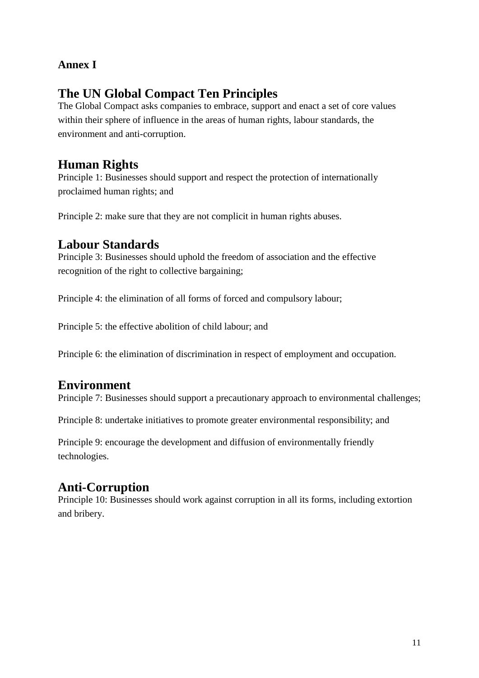# **Annex I**

# **The UN Global Compact Ten Principles**

The Global Compact asks companies to embrace, support and enact a set of core values within their sphere of influence in the areas of human rights, labour standards, the environment and anti-corruption.

# **Human Rights**

Principle 1: Businesses should support and respect the protection of internationally proclaimed human rights; and

Principle 2: make sure that they are not complicit in human rights abuses.

# **Labour Standards**

Principle 3: Businesses should uphold the freedom of association and the effective recognition of the right to collective bargaining;

Principle 4: the elimination of all forms of forced and compulsory labour;

Principle 5: the effective abolition of child labour; and

Principle 6: the elimination of discrimination in respect of employment and occupation.

# **Environment**

Principle 7: Businesses should support a precautionary approach to environmental challenges;

Principle 8: undertake initiatives to promote greater environmental responsibility; and

Principle 9: encourage the development and diffusion of environmentally friendly technologies.

# **Anti-Corruption**

Principle 10: Businesses should work against corruption in all its forms, including extortion and bribery.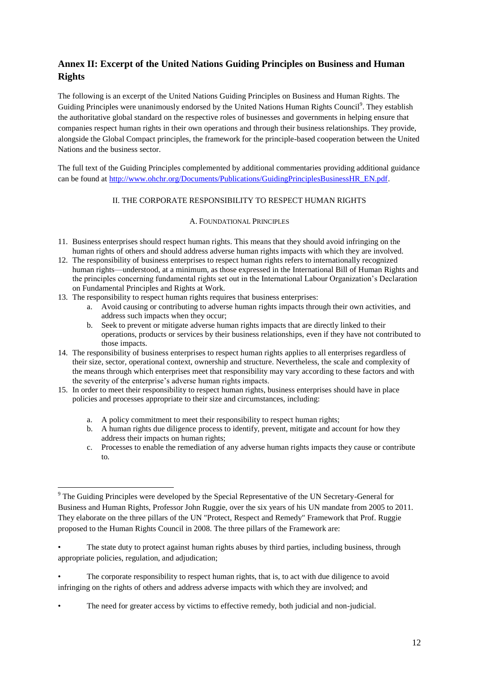### **Annex II: Excerpt of the United Nations Guiding Principles on Business and Human Rights**

The following is an excerpt of the United Nations Guiding Principles on Business and Human Rights. The Guiding Principles were unanimously endorsed by the United Nations Human Rights Council<sup>9</sup>. They establish the authoritative global standard on the respective roles of businesses and governments in helping ensure that companies respect human rights in their own operations and through their business relationships. They provide, alongside the Global Compact principles, the framework for the principle-based cooperation between the United Nations and the business sector.

The full text of the Guiding Principles complemented by additional commentaries providing additional guidance can be found at [http://www.ohchr.org/Documents/Publications/GuidingPrinciplesBusinessHR\\_EN.pdf.](http://www.ohchr.org/Documents/Publications/GuidingPrinciplesBusinessHR_EN.pdf)

#### II. THE CORPORATE RESPONSIBILITY TO RESPECT HUMAN RIGHTS

#### A. FOUNDATIONAL PRINCIPLES

- 11. Business enterprises should respect human rights. This means that they should avoid infringing on the human rights of others and should address adverse human rights impacts with which they are involved.
- 12. The responsibility of business enterprises to respect human rights refers to internationally recognized human rights—understood, at a minimum, as those expressed in the International Bill of Human Rights and the principles concerning fundamental rights set out in the International Labour Organization's Declaration on Fundamental Principles and Rights at Work.
- 13. The responsibility to respect human rights requires that business enterprises:

1

- a. Avoid causing or contributing to adverse human rights impacts through their own activities, and address such impacts when they occur;
- b. Seek to prevent or mitigate adverse human rights impacts that are directly linked to their operations, products or services by their business relationships, even if they have not contributed to those impacts.
- 14. The responsibility of business enterprises to respect human rights applies to all enterprises regardless of their size, sector, operational context, ownership and structure. Nevertheless, the scale and complexity of the means through which enterprises meet that responsibility may vary according to these factors and with the severity of the enterprise's adverse human rights impacts.
- 15. In order to meet their responsibility to respect human rights, business enterprises should have in place policies and processes appropriate to their size and circumstances, including:
	- a. A policy commitment to meet their responsibility to respect human rights;
	- b. A human rights due diligence process to identify, prevent, mitigate and account for how they address their impacts on human rights;
	- c. Processes to enable the remediation of any adverse human rights impacts they cause or contribute to.

- The corporate responsibility to respect human rights, that is, to act with due diligence to avoid infringing on the rights of others and address adverse impacts with which they are involved; and
- The need for greater access by victims to effective remedy, both judicial and non-judicial.

<sup>&</sup>lt;sup>9</sup> The Guiding Principles were developed by the Special Representative of the UN Secretary-General for Business and Human Rights, Professor John Ruggie, over the six years of his UN mandate from 2005 to 2011. They elaborate on the three pillars of the UN "Protect, Respect and Remedy" Framework that Prof. Ruggie proposed to the Human Rights Council in 2008. The three pillars of the Framework are:

The state duty to protect against human rights abuses by third parties, including business, through appropriate policies, regulation, and adjudication;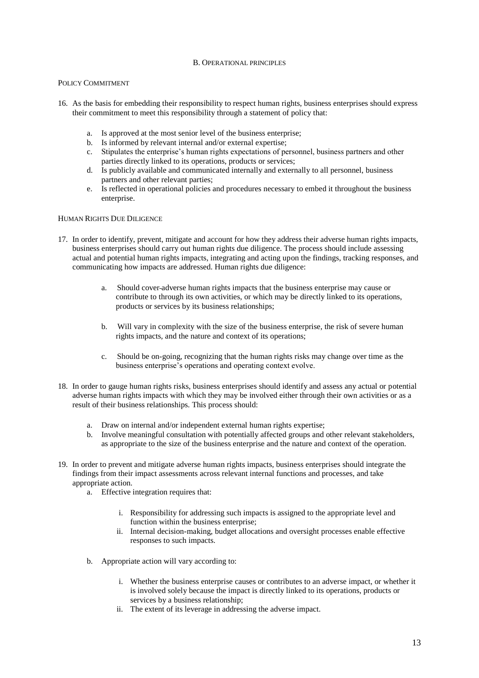#### B. OPERATIONAL PRINCIPLES

#### POLICY COMMITMENT

- 16. As the basis for embedding their responsibility to respect human rights, business enterprises should express their commitment to meet this responsibility through a statement of policy that:
	- a. Is approved at the most senior level of the business enterprise;
	- b. Is informed by relevant internal and/or external expertise;
	- c. Stipulates the enterprise's human rights expectations of personnel, business partners and other parties directly linked to its operations, products or services;
	- d. Is publicly available and communicated internally and externally to all personnel, business partners and other relevant parties;
	- e. Is reflected in operational policies and procedures necessary to embed it throughout the business enterprise.

#### HUMAN RIGHTS DUE DILIGENCE

- 17. In order to identify, prevent, mitigate and account for how they address their adverse human rights impacts, business enterprises should carry out human rights due diligence. The process should include assessing actual and potential human rights impacts, integrating and acting upon the findings, tracking responses, and communicating how impacts are addressed. Human rights due diligence:
	- a. Should cover adverse human rights impacts that the business enterprise may cause or contribute to through its own activities, or which may be directly linked to its operations, products or services by its business relationships;
	- b. Will vary in complexity with the size of the business enterprise, the risk of severe human rights impacts, and the nature and context of its operations;
	- c. Should be on-going, recognizing that the human rights risks may change over time as the business enterprise's operations and operating context evolve.
- 18. In order to gauge human rights risks, business enterprises should identify and assess any actual or potential adverse human rights impacts with which they may be involved either through their own activities or as a result of their business relationships. This process should:
	- a. Draw on internal and/or independent external human rights expertise;
	- b. Involve meaningful consultation with potentially affected groups and other relevant stakeholders, as appropriate to the size of the business enterprise and the nature and context of the operation.
- 19. In order to prevent and mitigate adverse human rights impacts, business enterprises should integrate the findings from their impact assessments across relevant internal functions and processes, and take appropriate action.
	- a. Effective integration requires that:
		- i. Responsibility for addressing such impacts is assigned to the appropriate level and function within the business enterprise;
		- ii. Internal decision-making, budget allocations and oversight processes enable effective responses to such impacts.
	- b. Appropriate action will vary according to:
		- i. Whether the business enterprise causes or contributes to an adverse impact, or whether it is involved solely because the impact is directly linked to its operations, products or services by a business relationship;
		- ii. The extent of its leverage in addressing the adverse impact.